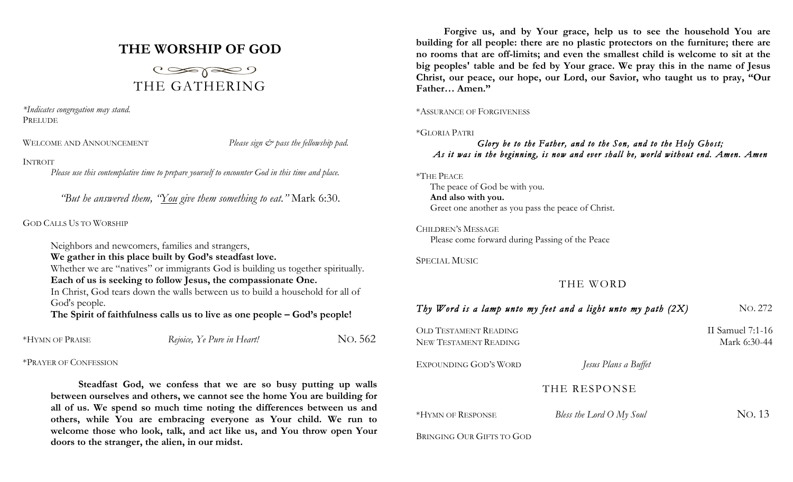# **THE WORSHIP OF GOD**



*\*Indicates congregation may stand.* PRELUDE

WELCOME AND ANNOUNCEMENT *Please sign*  $\breve{c}$  *pass the fellowship pad.* 

### INTROIT

*Please use this contemplative time to prepare yourself to encounter God in this time and place.*

*"But he answered them, "You give them something to eat."* Mark 6:30.

### GOD CALLS US TO WORSHIP

Neighbors and newcomers, families and strangers,

**We gather in this place built by God's steadfast love.**

Whether we are "natives" or immigrants God is building us together spiritually. **Each of us is seeking to follow Jesus, the compassionate One.**

In Christ, God tears down the walls between us to build a household for all of God's people.

**The Spirit of faithfulness calls us to live as one people – God's people!**

| *HYMN OF PRAISE | Rejoice, Ye Pure in Heart! | No. 562 |
|-----------------|----------------------------|---------|
|-----------------|----------------------------|---------|

## \*PRAYER OF CONFESSION

**Steadfast God, we confess that we are so busy putting up walls between ourselves and others, we cannot see the home You are building for all of us. We spend so much time noting the differences between us and others, while You are embracing everyone as Your child. We run to welcome those who look, talk, and act like us, and You throw open Your doors to the stranger, the alien, in our midst.**

**Forgive us, and by Your grace, help us to see the household You are building for all people: there are no plastic protectors on the furniture; there are no rooms that are off-limits; and even the smallest child is welcome to sit at the big peoples' table and be fed by Your grace. We pray this in the name of Jesus Christ, our peace, our hope, our Lord, our Savior, who taught us to pray, "Our Father… Amen."**

\*ASSURANCE OF FORGIVENESS

### \*GLORIA PATRI

# *Glory be to the Father, and to the Son, and to the Holy Ghost; As it was in the beginning, is now and ever shall be, world without end. Amen. Amen*

\*THE PEACE

The peace of God be with you. **And also with you.** Greet one another as you pass the peace of Christ.

CHILDREN'S MESSAGE Please come forward during Passing of the Peace

SPECIAL MUSIC

THE WORD

# *Thy Word is a lamp unto my feet and a light unto my path (2X)* NO. 272 OLD TESTAMENT READING II Samuel 7:1-16 NEW TESTAMENT READING Mark 6:30-44 EXPOUNDING GOD'S WORD *Jesus Plans a Buffet* THE RESPONSE \*HYMN OF RESPONSE*Bless the Lord O My Soul*NO. 13 BRINGING OUR GIFTS TO GOD